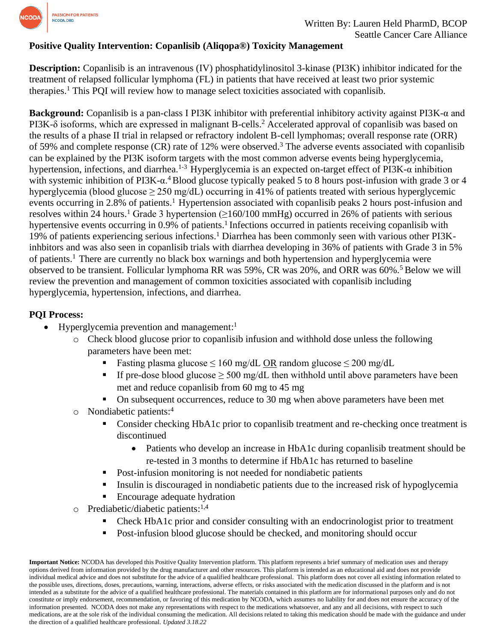

## **Positive Quality Intervention: Copanlisib (Aliqopa®) Toxicity Management**

**Description:** Copanlisib is an intravenous (IV) phosphatidylinositol 3-kinase (PI3K) inhibitor indicated for the treatment of relapsed follicular lymphoma (FL) in patients that have received at least two prior systemic therapies.<sup>1</sup> This PQI will review how to manage select toxicities associated with copanlisib.

**Background:** Copanlisib is a pan-class I PI3K inhibitor with preferential inhibitory activity against PI3K-α and PI3K-δ isoforms, which are expressed in malignant B-cells.<sup>2</sup> Accelerated approval of copanlisib was based on the results of a phase II trial in relapsed or refractory indolent B-cell lymphomas; overall response rate (ORR) of 59% and complete response (CR) rate of 12% were observed.<sup>3</sup> The adverse events associated with copanlisib can be explained by the PI3K isoform targets with the most common adverse events being hyperglycemia, hypertension, infections, and diarrhea.<sup>1-3</sup> Hyperglycemia is an expected on-target effect of PI3K- $\alpha$  inhibition with systemic inhibition of PI3K- $\alpha$ <sup>4</sup> Blood glucose typically peaked 5 to 8 hours post-infusion with grade 3 or 4 hyperglycemia (blood glucose  $\geq 250$  mg/dL) occurring in 41% of patients treated with serious hyperglycemic events occurring in 2.8% of patients.<sup>1</sup> Hypertension associated with copanlisib peaks 2 hours post-infusion and resolves within 24 hours.<sup>1</sup> Grade 3 hypertension ( $\geq$ 160/100 mmHg) occurred in 26% of patients with serious hypertensive events occurring in 0.9% of patients.<sup>1</sup> Infections occurred in patients receiving copanlisib with 19% of patients experiencing serious infections.<sup>1</sup> Diarrhea has been commonly seen with various other PI3Kinhbitors and was also seen in copanlisib trials with diarrhea developing in 36% of patients with Grade 3 in 5% of patients.<sup>1</sup> There are currently no black box warnings and both hypertension and hyperglycemia were observed to be transient. Follicular lymphoma RR was 59%, CR was 20%, and ORR was 60%.<sup>5</sup> Below we will review the prevention and management of common toxicities associated with copanlisib including hyperglycemia, hypertension, infections, and diarrhea.

## **PQI Process:**

- Hyperglycemia prevention and management:<sup>1</sup>
	- o Check blood glucose prior to copanlisib infusion and withhold dose unless the following parameters have been met:
		- Fasting plasma glucose  $\leq 160$  mg/dL OR random glucose  $\leq 200$  mg/dL
		- If pre-dose blood glucose  $\geq$  500 mg/dL then withhold until above parameters have been met and reduce copanlisib from 60 mg to 45 mg
		- On subsequent occurrences, reduce to 30 mg when above parameters have been met
	- o Nondiabetic patients: 4
		- Consider checking HbA1c prior to copanlisib treatment and re-checking once treatment is discontinued
			- Patients who develop an increase in HbA1c during copanlisib treatment should be re-tested in 3 months to determine if HbA1c has returned to baseline
		- Post-infusion monitoring is not needed for nondiabetic patients
		- **•** Insulin is discouraged in nondiabetic patients due to the increased risk of hypoglycemia
		- Encourage adequate hydration
	- o Prediabetic/diabetic patients: 1,4
		- Check HbA1c prior and consider consulting with an endocrinologist prior to treatment
		- Post-infusion blood glucose should be checked, and monitoring should occur

**Important Notice:** NCODA has developed this Positive Quality Intervention platform. This platform represents a brief summary of medication uses and therapy options derived from information provided by the drug manufacturer and other resources. This platform is intended as an educational aid and does not provide individual medical advice and does not substitute for the advice of a qualified healthcare professional. This platform does not cover all existing information related to the possible uses, directions, doses, precautions, warning, interactions, adverse effects, or risks associated with the medication discussed in the platform and is not intended as a substitute for the advice of a qualified healthcare professional. The materials contained in this platform are for informational purposes only and do not constitute or imply endorsement, recommendation, or favoring of this medication by NCODA, which assumes no liability for and does not ensure the accuracy of the information presented. NCODA does not make any representations with respect to the medications whatsoever, and any and all decisions, with respect to such medications, are at the sole risk of the individual consuming the medication. All decisions related to taking this medication should be made with the guidance and under the direction of a qualified healthcare professional. *Updated 3.18.22*